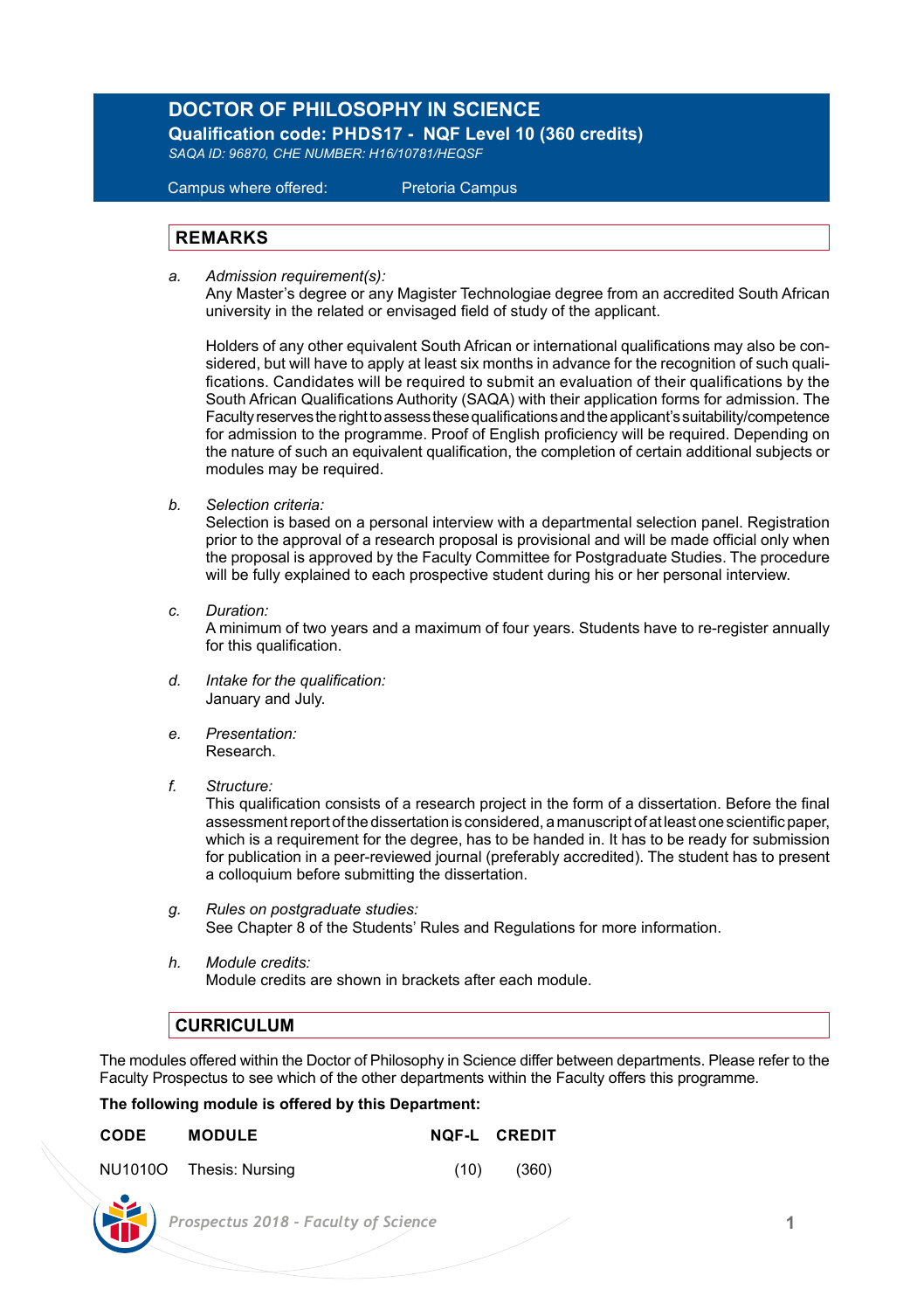## **DOCTOR OF PHILOSOPHY IN SCIENCE**

 **Qualification code: PHDS17 - NQF Level 10 (360 credits)**  *SAQA ID: 96870, CHE NUMBER: H16/10781/HEQSF*

Campus where offered: Pretoria Campus

## **REMARKS**

*a. Admission requirement(s):* 

 Any Master's degree or any Magister Technologiae degree from an accredited South African university in the related or envisaged field of study of the applicant.

 Holders of any other equivalent South African or international qualifications may also be con sidered, but will have to apply at least six months in advance for the recognition of such quali fications. Candidates will be required to submit an evaluation of their qualifications by the South African Qualifications Authority (SAQA) with their application forms for admission. The Faculty reserves the right to assess these qualifications and the applicant's suitability/competence for admission to the programme. Proof of English proficiency will be required. Depending on the nature of such an equivalent qualification, the completion of certain additional subjects or modules may be required.

*b. Selection criteria:*

Selection is based on a personal interview with a departmental selection panel. Registration prior to the approval of a research proposal is provisional and will be made official only when the proposal is approved by the Faculty Committee for Postgraduate Studies. The procedure will be fully explained to each prospective student during his or her personal interview.

*c. Duration:*

A minimum of two years and a maximum of four years. Students have to re-register annually for this qualification.

- *d. Intake for the qualification:* January and July.
- *e. Presentation:*  Research.
- *f. Structure:*

This qualification consists of a research project in the form of a dissertation. Before the final assessment report of the dissertation is considered, a manuscript of at least one scientific paper, which is a requirement for the degree, has to be handed in. It has to be ready for submission for publication in a peer-reviewed journal (preferably accredited). The student has to present a colloquium before submitting the dissertation.

- *g. Rules on postgraduate studies:* See Chapter 8 of the Students' Rules and Regulations for more information.
- *h. Module credits:* Module credits are shown in brackets after each module.

## **CURRICULUM**

The modules offered within the Doctor of Philosophy in Science differ between departments. Please refer to the Faculty Prospectus to see which of the other departments within the Faculty offers this programme.

## **The following module is offered by this Department:**

| CODE | <b>MODULE</b>           |      | NOF-L CREDIT |
|------|-------------------------|------|--------------|
|      | NU1010O Thesis: Nursing | (10) | (360)        |